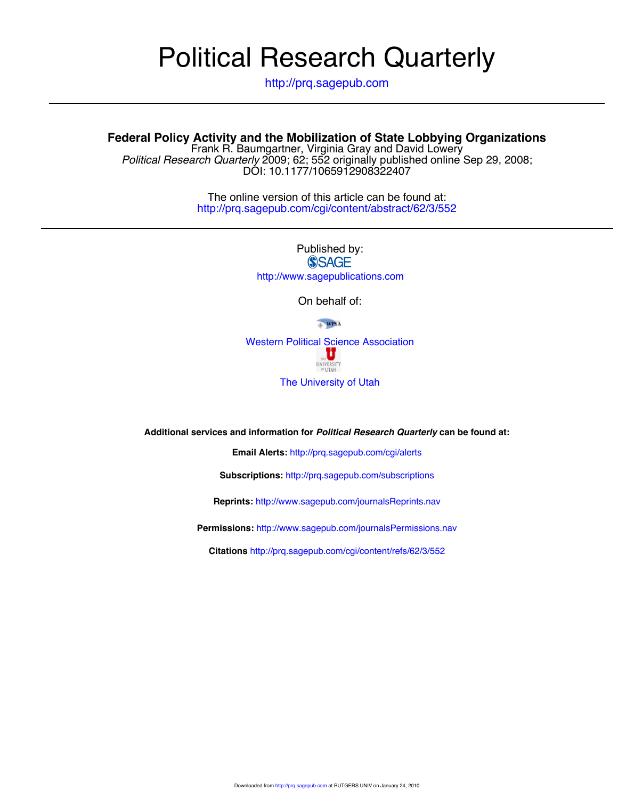# Political Research Quarterly

http://prq.sagepub.com

# **Federal Policy Activity and the Mobilization of State Lobbying Organizations**

DOI: 10.1177/1065912908322407 *Political Research Quarterly* 2009; 62; 552 originally published online Sep 29, 2008; Frank R. Baumgartner, Virginia Gray and David Lowery

> http://prq.sagepub.com/cgi/content/abstract/62/3/552 The online version of this article can be found at:

> > Published by: **SSAGE** http://www.sagepublications.com On behalf of:

**E** WPSA Western Political Science Association U UNIVERSITY

The University of Utah

**Additional services and information for** *Political Research Quarterly* **can be found at:**

**Email Alerts:** http://prq.sagepub.com/cgi/alerts

**Subscriptions:** http://prq.sagepub.com/subscriptions

**Reprints:** http://www.sagepub.com/journalsReprints.nav

**Permissions:** http://www.sagepub.com/journalsPermissions.nav

**Citations** http://prq.sagepub.com/cgi/content/refs/62/3/552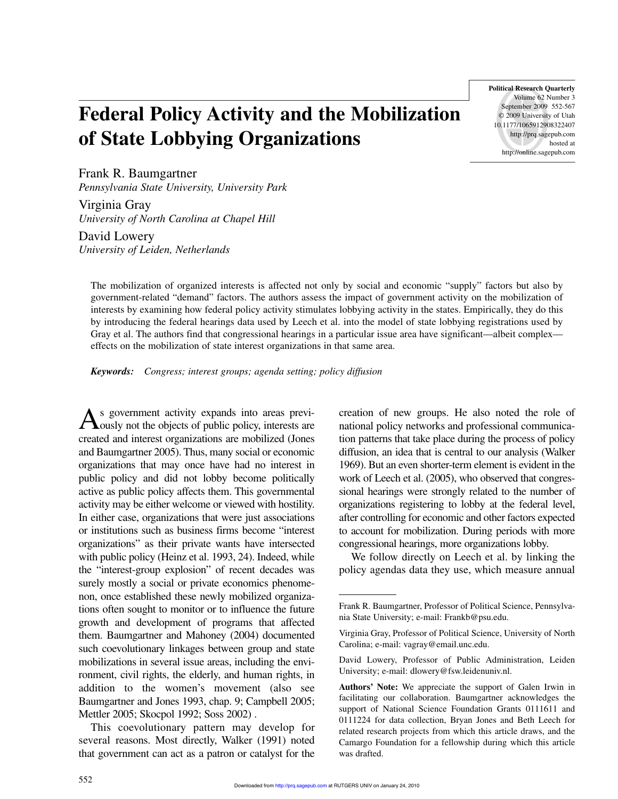# **Federal Policy Activity and the Mobilization of State Lobbying Organizations**

**Political Research Quarterly** Volume 62 Number 3 September 2009 552-567 © 2009 University of Utah 10.1177/1065912908322407 http://prq.sagepub.com hosted at http://online.sagepub.com

Frank R. Baumgartner

*Pennsylvania State University, University Park*

Virginia Gray *University of North Carolina at Chapel Hill*

David Lowery *University of Leiden, Netherlands*

The mobilization of organized interests is affected not only by social and economic "supply" factors but also by government-related "demand" factors. The authors assess the impact of government activity on the mobilization of interests by examining how federal policy activity stimulates lobbying activity in the states. Empirically, they do this by introducing the federal hearings data used by Leech et al. into the model of state lobbying registrations used by Gray et al. The authors find that congressional hearings in a particular issue area have significant—albeit complex effects on the mobilization of state interest organizations in that same area.

*Keywords: Congress; interest groups; agenda setting; policy diffusion*

As government activity expands into areas previ-ously not the objects of public policy, interests are created and interest organizations are mobilized (Jones and Baumgartner 2005). Thus, many social or economic organizations that may once have had no interest in public policy and did not lobby become politically active as public policy affects them. This governmental activity may be either welcome or viewed with hostility. In either case, organizations that were just associations or institutions such as business firms become "interest organizations" as their private wants have intersected with public policy (Heinz et al. 1993, 24). Indeed, while the "interest-group explosion" of recent decades was surely mostly a social or private economics phenomenon, once established these newly mobilized organizations often sought to monitor or to influence the future growth and development of programs that affected them. Baumgartner and Mahoney (2004) documented such coevolutionary linkages between group and state mobilizations in several issue areas, including the environment, civil rights, the elderly, and human rights, in addition to the women's movement (also see Baumgartner and Jones 1993, chap. 9; Campbell 2005; Mettler 2005; Skocpol 1992; Soss 2002) .

This coevolutionary pattern may develop for several reasons. Most directly, Walker (1991) noted that government can act as a patron or catalyst for the

creation of new groups. He also noted the role of national policy networks and professional communication patterns that take place during the process of policy diffusion, an idea that is central to our analysis (Walker 1969). But an even shorter-term element is evident in the work of Leech et al. (2005), who observed that congressional hearings were strongly related to the number of organizations registering to lobby at the federal level, after controlling for economic and other factors expected to account for mobilization. During periods with more congressional hearings, more organizations lobby.

We follow directly on Leech et al. by linking the policy agendas data they use, which measure annual

Frank R. Baumgartner, Professor of Political Science, Pennsylvania State University; e-mail: Frankb@psu.edu.

Virginia Gray, Professor of Political Science, University of North Carolina; e-mail: vagray@email.unc.edu.

David Lowery, Professor of Public Administration, Leiden University; e-mail: dlowery@fsw.leidenuniv.nl.

**Authors' Note:** We appreciate the support of Galen Irwin in facilitating our collaboration. Baumgartner acknowledges the support of National Science Foundation Grants 0111611 and 0111224 for data collection, Bryan Jones and Beth Leech for related research projects from which this article draws, and the Camargo Foundation for a fellowship during which this article was drafted.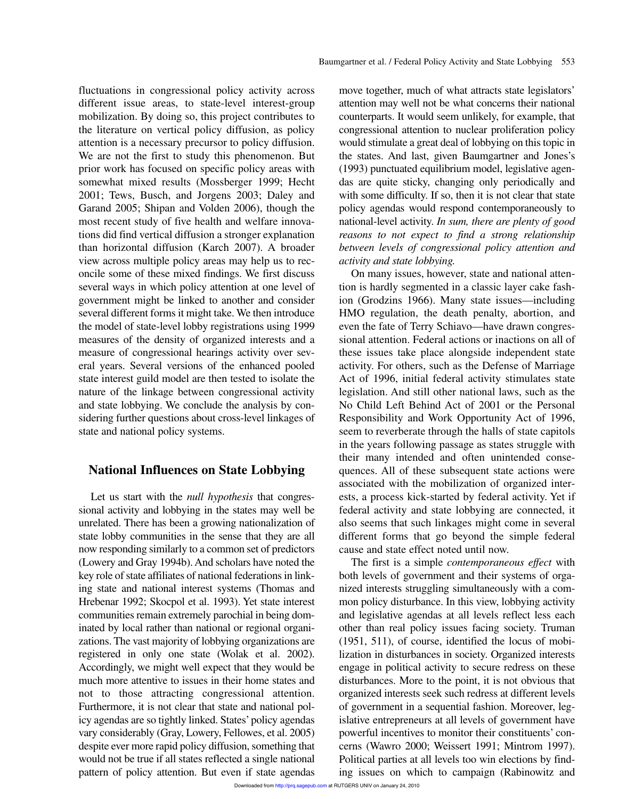fluctuations in congressional policy activity across different issue areas, to state-level interest-group mobilization. By doing so, this project contributes to the literature on vertical policy diffusion, as policy attention is a necessary precursor to policy diffusion. We are not the first to study this phenomenon. But prior work has focused on specific policy areas with somewhat mixed results (Mossberger 1999; Hecht 2001; Tews, Busch, and Jorgens 2003; Daley and Garand 2005; Shipan and Volden 2006), though the most recent study of five health and welfare innovations did find vertical diffusion a stronger explanation than horizontal diffusion (Karch 2007). A broader view across multiple policy areas may help us to reconcile some of these mixed findings. We first discuss several ways in which policy attention at one level of government might be linked to another and consider several different forms it might take. We then introduce the model of state-level lobby registrations using 1999 measures of the density of organized interests and a measure of congressional hearings activity over several years. Several versions of the enhanced pooled state interest guild model are then tested to isolate the nature of the linkage between congressional activity and state lobbying. We conclude the analysis by considering further questions about cross-level linkages of state and national policy systems.

## **National Influences on State Lobbying**

Let us start with the *null hypothesis* that congressional activity and lobbying in the states may well be unrelated. There has been a growing nationalization of state lobby communities in the sense that they are all now responding similarly to a common set of predictors (Lowery and Gray 1994b). And scholars have noted the key role of state affiliates of national federations in linking state and national interest systems (Thomas and Hrebenar 1992; Skocpol et al. 1993). Yet state interest communities remain extremely parochial in being dominated by local rather than national or regional organizations. The vast majority of lobbying organizations are registered in only one state (Wolak et al. 2002). Accordingly, we might well expect that they would be much more attentive to issues in their home states and not to those attracting congressional attention. Furthermore, it is not clear that state and national policy agendas are so tightly linked. States' policy agendas vary considerably (Gray, Lowery, Fellowes, et al. 2005) despite ever more rapid policy diffusion, something that would not be true if all states reflected a single national pattern of policy attention. But even if state agendas

move together, much of what attracts state legislators' attention may well not be what concerns their national counterparts. It would seem unlikely, for example, that congressional attention to nuclear proliferation policy would stimulate a great deal of lobbying on this topic in the states. And last, given Baumgartner and Jones's (1993) punctuated equilibrium model, legislative agendas are quite sticky, changing only periodically and with some difficulty. If so, then it is not clear that state policy agendas would respond contemporaneously to national-level activity. *In sum, there are plenty of good reasons to not expect to find a strong relationship between levels of congressional policy attention and activity and state lobbying.*

On many issues, however, state and national attention is hardly segmented in a classic layer cake fashion (Grodzins 1966). Many state issues—including HMO regulation, the death penalty, abortion, and even the fate of Terry Schiavo—have drawn congressional attention. Federal actions or inactions on all of these issues take place alongside independent state activity. For others, such as the Defense of Marriage Act of 1996, initial federal activity stimulates state legislation. And still other national laws, such as the No Child Left Behind Act of 2001 or the Personal Responsibility and Work Opportunity Act of 1996, seem to reverberate through the halls of state capitols in the years following passage as states struggle with their many intended and often unintended consequences. All of these subsequent state actions were associated with the mobilization of organized interests, a process kick-started by federal activity. Yet if federal activity and state lobbying are connected, it also seems that such linkages might come in several different forms that go beyond the simple federal cause and state effect noted until now.

The first is a simple *contemporaneous effect* with both levels of government and their systems of organized interests struggling simultaneously with a common policy disturbance. In this view, lobbying activity and legislative agendas at all levels reflect less each other than real policy issues facing society. Truman (1951, 511), of course, identified the locus of mobilization in disturbances in society. Organized interests engage in political activity to secure redress on these disturbances. More to the point, it is not obvious that organized interests seek such redress at different levels of government in a sequential fashion. Moreover, legislative entrepreneurs at all levels of government have powerful incentives to monitor their constituents' concerns (Wawro 2000; Weissert 1991; Mintrom 1997). Political parties at all levels too win elections by finding issues on which to campaign (Rabinowitz and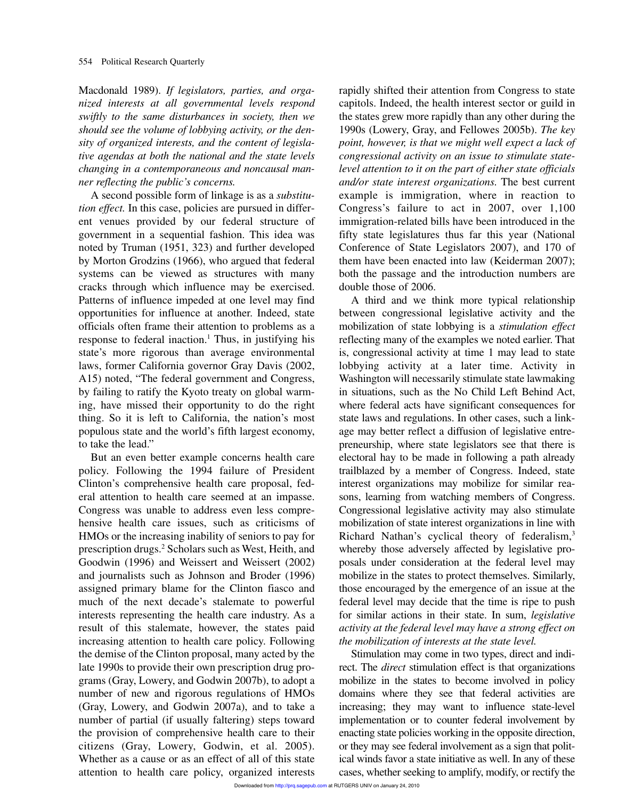Macdonald 1989). *If legislators, parties, and organized interests at all governmental levels respond swiftly to the same disturbances in society, then we should see the volume of lobbying activity, or the density of organized interests, and the content of legislative agendas at both the national and the state levels changing in a contemporaneous and noncausal manner reflecting the public's concerns.*

A second possible form of linkage is as a *substitution effect*. In this case, policies are pursued in different venues provided by our federal structure of government in a sequential fashion. This idea was noted by Truman (1951, 323) and further developed by Morton Grodzins (1966), who argued that federal systems can be viewed as structures with many cracks through which influence may be exercised. Patterns of influence impeded at one level may find opportunities for influence at another. Indeed, state officials often frame their attention to problems as a response to federal inaction.<sup>1</sup> Thus, in justifying his state's more rigorous than average environmental laws, former California governor Gray Davis (2002, A15) noted, "The federal government and Congress, by failing to ratify the Kyoto treaty on global warming, have missed their opportunity to do the right thing. So it is left to California, the nation's most populous state and the world's fifth largest economy, to take the lead."

But an even better example concerns health care policy. Following the 1994 failure of President Clinton's comprehensive health care proposal, federal attention to health care seemed at an impasse. Congress was unable to address even less comprehensive health care issues, such as criticisms of HMOs or the increasing inability of seniors to pay for prescription drugs.2 Scholars such as West, Heith, and Goodwin (1996) and Weissert and Weissert (2002) and journalists such as Johnson and Broder (1996) assigned primary blame for the Clinton fiasco and much of the next decade's stalemate to powerful interests representing the health care industry. As a result of this stalemate, however, the states paid increasing attention to health care policy. Following the demise of the Clinton proposal, many acted by the late 1990s to provide their own prescription drug programs (Gray, Lowery, and Godwin 2007b), to adopt a number of new and rigorous regulations of HMOs (Gray, Lowery, and Godwin 2007a), and to take a number of partial (if usually faltering) steps toward the provision of comprehensive health care to their citizens (Gray, Lowery, Godwin, et al. 2005). Whether as a cause or as an effect of all of this state attention to health care policy, organized interests

rapidly shifted their attention from Congress to state capitols. Indeed, the health interest sector or guild in the states grew more rapidly than any other during the 1990s (Lowery, Gray, and Fellowes 2005b). *The key point, however, is that we might well expect a lack of congressional activity on an issue to stimulate statelevel attention to it on the part of either state officials and/or state interest organizations.* The best current example is immigration, where in reaction to Congress's failure to act in 2007, over 1,100 immigration-related bills have been introduced in the fifty state legislatures thus far this year (National Conference of State Legislators 2007), and 170 of them have been enacted into law (Keiderman 2007); both the passage and the introduction numbers are double those of 2006.

A third and we think more typical relationship between congressional legislative activity and the mobilization of state lobbying is a *stimulation effect* reflecting many of the examples we noted earlier. That is, congressional activity at time 1 may lead to state lobbying activity at a later time. Activity in Washington will necessarily stimulate state lawmaking in situations, such as the No Child Left Behind Act, where federal acts have significant consequences for state laws and regulations. In other cases, such a linkage may better reflect a diffusion of legislative entrepreneurship, where state legislators see that there is electoral hay to be made in following a path already trailblazed by a member of Congress. Indeed, state interest organizations may mobilize for similar reasons, learning from watching members of Congress. Congressional legislative activity may also stimulate mobilization of state interest organizations in line with Richard Nathan's cyclical theory of federalism, $3$ whereby those adversely affected by legislative proposals under consideration at the federal level may mobilize in the states to protect themselves. Similarly, those encouraged by the emergence of an issue at the federal level may decide that the time is ripe to push for similar actions in their state. In sum, *legislative activity at the federal level may have a strong effect on the mobilization of interests at the state level.*

Stimulation may come in two types, direct and indirect. The *direct* stimulation effect is that organizations mobilize in the states to become involved in policy domains where they see that federal activities are increasing; they may want to influence state-level implementation or to counter federal involvement by enacting state policies working in the opposite direction, or they may see federal involvement as a sign that political winds favor a state initiative as well. In any of these cases, whether seeking to amplify, modify, or rectify the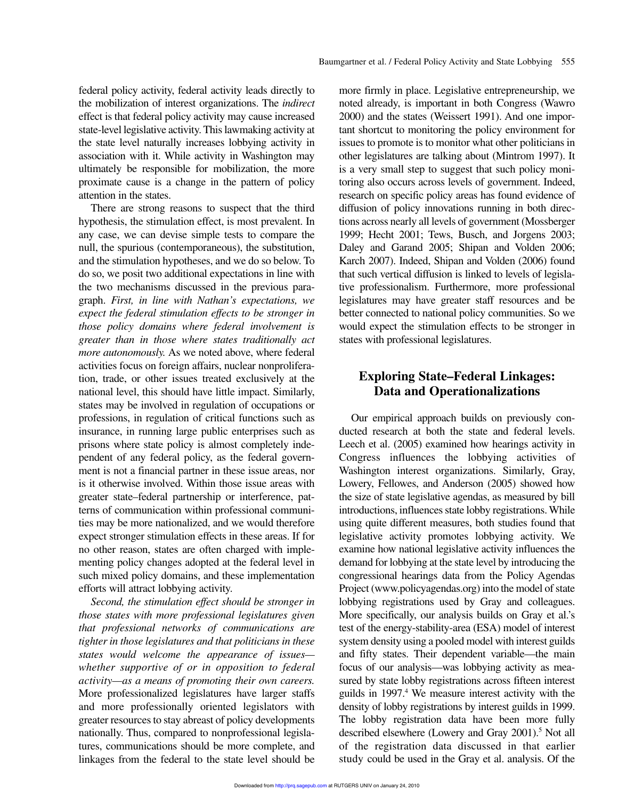federal policy activity, federal activity leads directly to the mobilization of interest organizations. The *indirect* effect is that federal policy activity may cause increased state-level legislative activity. This lawmaking activity at the state level naturally increases lobbying activity in association with it. While activity in Washington may ultimately be responsible for mobilization, the more proximate cause is a change in the pattern of policy attention in the states.

There are strong reasons to suspect that the third hypothesis, the stimulation effect, is most prevalent. In any case, we can devise simple tests to compare the null, the spurious (contemporaneous), the substitution, and the stimulation hypotheses, and we do so below. To do so, we posit two additional expectations in line with the two mechanisms discussed in the previous paragraph. *First, in line with Nathan's expectations, we expect the federal stimulation effects to be stronger in those policy domains where federal involvement is greater than in those where states traditionally act more autonomously.* As we noted above, where federal activities focus on foreign affairs, nuclear nonproliferation, trade, or other issues treated exclusively at the national level, this should have little impact. Similarly, states may be involved in regulation of occupations or professions, in regulation of critical functions such as insurance, in running large public enterprises such as prisons where state policy is almost completely independent of any federal policy, as the federal government is not a financial partner in these issue areas, nor is it otherwise involved. Within those issue areas with greater state–federal partnership or interference, patterns of communication within professional communities may be more nationalized, and we would therefore expect stronger stimulation effects in these areas. If for no other reason, states are often charged with implementing policy changes adopted at the federal level in such mixed policy domains, and these implementation efforts will attract lobbying activity.

*Second, the stimulation effect should be stronger in those states with more professional legislatures given that professional networks of communications are tighter in those legislatures and that politicians in these states would welcome the appearance of issues whether supportive of or in opposition to federal activity—as a means of promoting their own careers.* More professionalized legislatures have larger staffs and more professionally oriented legislators with greater resources to stay abreast of policy developments nationally. Thus, compared to nonprofessional legislatures, communications should be more complete, and linkages from the federal to the state level should be

more firmly in place. Legislative entrepreneurship, we noted already, is important in both Congress (Wawro 2000) and the states (Weissert 1991). And one important shortcut to monitoring the policy environment for issues to promote is to monitor what other politicians in other legislatures are talking about (Mintrom 1997). It is a very small step to suggest that such policy monitoring also occurs across levels of government. Indeed, research on specific policy areas has found evidence of diffusion of policy innovations running in both directions across nearly all levels of government (Mossberger 1999; Hecht 2001; Tews, Busch, and Jorgens 2003; Daley and Garand 2005; Shipan and Volden 2006; Karch 2007). Indeed, Shipan and Volden (2006) found that such vertical diffusion is linked to levels of legislative professionalism. Furthermore, more professional legislatures may have greater staff resources and be better connected to national policy communities. So we would expect the stimulation effects to be stronger in states with professional legislatures.

# **Exploring State–Federal Linkages: Data and Operationalizations**

Our empirical approach builds on previously conducted research at both the state and federal levels. Leech et al. (2005) examined how hearings activity in Congress influences the lobbying activities of Washington interest organizations. Similarly, Gray, Lowery, Fellowes, and Anderson (2005) showed how the size of state legislative agendas, as measured by bill introductions, influences state lobby registrations. While using quite different measures, both studies found that legislative activity promotes lobbying activity. We examine how national legislative activity influences the demand for lobbying at the state level by introducing the congressional hearings data from the Policy Agendas Project (www.policyagendas.org) into the model of state lobbying registrations used by Gray and colleagues. More specifically, our analysis builds on Gray et al.'s test of the energy-stability-area (ESA) model of interest system density using a pooled model with interest guilds and fifty states. Their dependent variable—the main focus of our analysis—was lobbying activity as measured by state lobby registrations across fifteen interest guilds in  $1997<sup>4</sup>$  We measure interest activity with the density of lobby registrations by interest guilds in 1999. The lobby registration data have been more fully described elsewhere (Lowery and Gray 2001).<sup>5</sup> Not all of the registration data discussed in that earlier study could be used in the Gray et al. analysis. Of the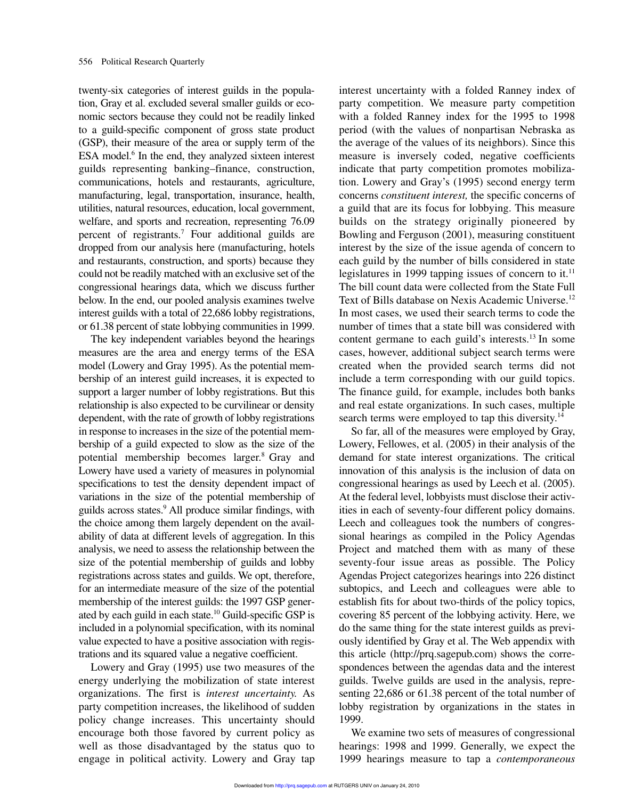twenty-six categories of interest guilds in the population, Gray et al. excluded several smaller guilds or economic sectors because they could not be readily linked to a guild-specific component of gross state product (GSP), their measure of the area or supply term of the ESA model.<sup>6</sup> In the end, they analyzed sixteen interest guilds representing banking–finance, construction, communications, hotels and restaurants, agriculture, manufacturing, legal, transportation, insurance, health, utilities, natural resources, education, local government, welfare, and sports and recreation, representing 76.09 percent of registrants.7 Four additional guilds are dropped from our analysis here (manufacturing, hotels and restaurants, construction, and sports) because they could not be readily matched with an exclusive set of the congressional hearings data, which we discuss further below. In the end, our pooled analysis examines twelve interest guilds with a total of 22,686 lobby registrations, or 61.38 percent of state lobbying communities in 1999.

The key independent variables beyond the hearings measures are the area and energy terms of the ESA model (Lowery and Gray 1995). As the potential membership of an interest guild increases, it is expected to support a larger number of lobby registrations. But this relationship is also expected to be curvilinear or density dependent, with the rate of growth of lobby registrations in response to increases in the size of the potential membership of a guild expected to slow as the size of the potential membership becomes larger.8 Gray and Lowery have used a variety of measures in polynomial specifications to test the density dependent impact of variations in the size of the potential membership of guilds across states.<sup>9</sup> All produce similar findings, with the choice among them largely dependent on the availability of data at different levels of aggregation. In this analysis, we need to assess the relationship between the size of the potential membership of guilds and lobby registrations across states and guilds. We opt, therefore, for an intermediate measure of the size of the potential membership of the interest guilds: the 1997 GSP generated by each guild in each state.<sup>10</sup> Guild-specific GSP is included in a polynomial specification, with its nominal value expected to have a positive association with registrations and its squared value a negative coefficient.

Lowery and Gray (1995) use two measures of the energy underlying the mobilization of state interest organizations. The first is *interest uncertainty.* As party competition increases, the likelihood of sudden policy change increases. This uncertainty should encourage both those favored by current policy as well as those disadvantaged by the status quo to engage in political activity. Lowery and Gray tap interest uncertainty with a folded Ranney index of party competition. We measure party competition with a folded Ranney index for the 1995 to 1998 period (with the values of nonpartisan Nebraska as the average of the values of its neighbors). Since this measure is inversely coded, negative coefficients indicate that party competition promotes mobilization. Lowery and Gray's (1995) second energy term concerns *constituent interest,* the specific concerns of a guild that are its focus for lobbying. This measure builds on the strategy originally pioneered by Bowling and Ferguson (2001), measuring constituent interest by the size of the issue agenda of concern to each guild by the number of bills considered in state legislatures in 1999 tapping issues of concern to it.<sup>11</sup> The bill count data were collected from the State Full Text of Bills database on Nexis Academic Universe.<sup>12</sup> In most cases, we used their search terms to code the number of times that a state bill was considered with content germane to each guild's interests.<sup>13</sup> In some cases, however, additional subject search terms were created when the provided search terms did not include a term corresponding with our guild topics. The finance guild, for example, includes both banks and real estate organizations. In such cases, multiple search terms were employed to tap this diversity.<sup>14</sup>

So far, all of the measures were employed by Gray, Lowery, Fellowes, et al. (2005) in their analysis of the demand for state interest organizations. The critical innovation of this analysis is the inclusion of data on congressional hearings as used by Leech et al. (2005). At the federal level, lobbyists must disclose their activities in each of seventy-four different policy domains. Leech and colleagues took the numbers of congressional hearings as compiled in the Policy Agendas Project and matched them with as many of these seventy-four issue areas as possible. The Policy Agendas Project categorizes hearings into 226 distinct subtopics, and Leech and colleagues were able to establish fits for about two-thirds of the policy topics, covering 85 percent of the lobbying activity. Here, we do the same thing for the state interest guilds as previously identified by Gray et al. The Web appendix with this article (http://prq.sagepub.com) shows the correspondences between the agendas data and the interest guilds. Twelve guilds are used in the analysis, representing 22,686 or 61.38 percent of the total number of lobby registration by organizations in the states in 1999.

We examine two sets of measures of congressional hearings: 1998 and 1999. Generally, we expect the 1999 hearings measure to tap a *contemporaneous*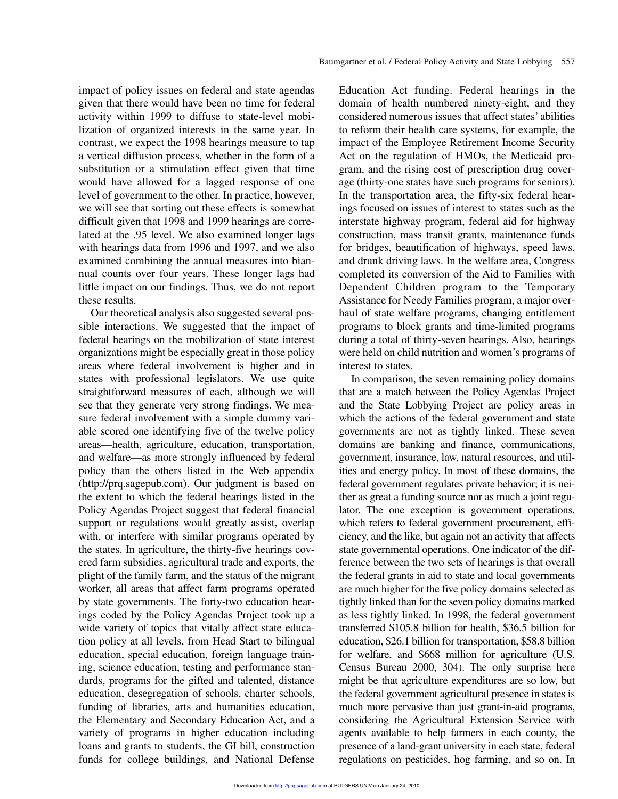impact of policy issues on federal and state agendas given that there would have been no time for federal activity within 1999 to diffuse to state-level mobilization of organized interests in the same year. In contrast, we expect the 1998 hearings measure to tap a vertical diffusion process, whether in the form of a substitution or a stimulation effect given that time would have allowed for a lagged response of one level of government to the other. In practice, however, we will see that sorting out these effects is somewhat difficult given that 1998 and 1999 hearings are correlated at the .95 level. We also examined longer lags with hearings data from 1996 and 1997, and we also examined combining the annual measures into biannual counts over four years. These longer lags had little impact on our findings. Thus, we do not report these results.

Our theoretical analysis also suggested several possible interactions. We suggested that the impact of federal hearings on the mobilization of state interest organizations might be especially great in those policy areas where federal involvement is higher and in states with professional legislators. We use quite straightforward measures of each, although we will see that they generate very strong findings. We measure federal involvement with a simple dummy variable scored one identifying five of the twelve policy areas—health, agriculture, education, transportation, and welfare—as more strongly influenced by federal policy than the others listed in the Web appendix (http://prq.sagepub.com). Our judgment is based on the extent to which the federal hearings listed in the Policy Agendas Project suggest that federal financial support or regulations would greatly assist, overlap with, or interfere with similar programs operated by the states. In agriculture, the thirty-five hearings covered farm subsidies, agricultural trade and exports, the plight of the family farm, and the status of the migrant worker, all areas that affect farm programs operated by state governments. The forty-two education hearings coded by the Policy Agendas Project took up a wide variety of topics that vitally affect state education policy at all levels, from Head Start to bilingual education, special education, foreign language training, science education, testing and performance standards, programs for the gifted and talented, distance education, desegregation of schools, charter schools, funding of libraries, arts and humanities education, the Elementary and Secondary Education Act, and a variety of programs in higher education including loans and grants to students, the GI bill, construction funds for college buildings, and National Defense

Education Act funding. Federal hearings in the domain of health numbered ninety-eight, and they considered numerous issues that affect states' abilities to reform their health care systems, for example, the impact of the Employee Retirement Income Security Act on the regulation of HMOs, the Medicaid program, and the rising cost of prescription drug coverage (thirty-one states have such programs for seniors). In the transportation area, the fifty-six federal hearings focused on issues of interest to states such as the interstate highway program, federal aid for highway construction, mass transit grants, maintenance funds for bridges, beautification of highways, speed laws, and drunk driving laws. In the welfare area, Congress completed its conversion of the Aid to Families with Dependent Children program to the Temporary Assistance for Needy Families program, a major overhaul of state welfare programs, changing entitlement programs to block grants and time-limited programs during a total of thirty-seven hearings. Also, hearings were held on child nutrition and women's programs of interest to states.

In comparison, the seven remaining policy domains that are a match between the Policy Agendas Project and the State Lobbying Project are policy areas in which the actions of the federal government and state governments are not as tightly linked. These seven domains are banking and finance, communications, government, insurance, law, natural resources, and utilities and energy policy. In most of these domains, the federal government regulates private behavior; it is neither as great a funding source nor as much a joint regulator. The one exception is government operations, which refers to federal government procurement, efficiency, and the like, but again not an activity that affects state governmental operations. One indicator of the difference between the two sets of hearings is that overall the federal grants in aid to state and local governments are much higher for the five policy domains selected as tightly linked than for the seven policy domains marked as less tightly linked. In 1998, the federal government transferred \$105.8 billion for health, \$36.5 billion for education, \$26.1 billion for transportation, \$58.8 billion for welfare, and \$668 million for agriculture (U.S. Census Bureau 2000, 304). The only surprise here might be that agriculture expenditures are so low, but the federal government agricultural presence in states is much more pervasive than just grant-in-aid programs, considering the Agricultural Extension Service with agents available to help farmers in each county, the presence of a land-grant university in each state, federal regulations on pesticides, hog farming, and so on. In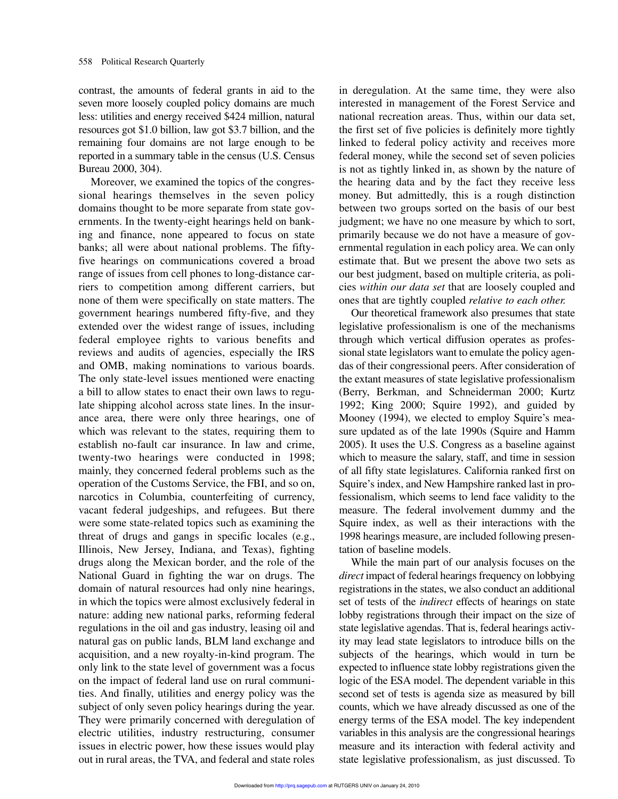contrast, the amounts of federal grants in aid to the seven more loosely coupled policy domains are much less: utilities and energy received \$424 million, natural resources got \$1.0 billion, law got \$3.7 billion, and the remaining four domains are not large enough to be reported in a summary table in the census (U.S. Census Bureau 2000, 304).

Moreover, we examined the topics of the congressional hearings themselves in the seven policy domains thought to be more separate from state governments. In the twenty-eight hearings held on banking and finance, none appeared to focus on state banks; all were about national problems. The fiftyfive hearings on communications covered a broad range of issues from cell phones to long-distance carriers to competition among different carriers, but none of them were specifically on state matters. The government hearings numbered fifty-five, and they extended over the widest range of issues, including federal employee rights to various benefits and reviews and audits of agencies, especially the IRS and OMB, making nominations to various boards. The only state-level issues mentioned were enacting a bill to allow states to enact their own laws to regulate shipping alcohol across state lines. In the insurance area, there were only three hearings, one of which was relevant to the states, requiring them to establish no-fault car insurance. In law and crime, twenty-two hearings were conducted in 1998; mainly, they concerned federal problems such as the operation of the Customs Service, the FBI, and so on, narcotics in Columbia, counterfeiting of currency, vacant federal judgeships, and refugees. But there were some state-related topics such as examining the threat of drugs and gangs in specific locales (e.g., Illinois, New Jersey, Indiana, and Texas), fighting drugs along the Mexican border, and the role of the National Guard in fighting the war on drugs. The domain of natural resources had only nine hearings, in which the topics were almost exclusively federal in nature: adding new national parks, reforming federal regulations in the oil and gas industry, leasing oil and natural gas on public lands, BLM land exchange and acquisition, and a new royalty-in-kind program. The only link to the state level of government was a focus on the impact of federal land use on rural communities. And finally, utilities and energy policy was the subject of only seven policy hearings during the year. They were primarily concerned with deregulation of electric utilities, industry restructuring, consumer issues in electric power, how these issues would play out in rural areas, the TVA, and federal and state roles

in deregulation. At the same time, they were also interested in management of the Forest Service and national recreation areas. Thus, within our data set, the first set of five policies is definitely more tightly linked to federal policy activity and receives more federal money, while the second set of seven policies is not as tightly linked in, as shown by the nature of the hearing data and by the fact they receive less money. But admittedly, this is a rough distinction between two groups sorted on the basis of our best judgment; we have no one measure by which to sort, primarily because we do not have a measure of governmental regulation in each policy area. We can only estimate that. But we present the above two sets as our best judgment, based on multiple criteria, as policies *within our data set* that are loosely coupled and ones that are tightly coupled *relative to each other.*

Our theoretical framework also presumes that state legislative professionalism is one of the mechanisms through which vertical diffusion operates as professional state legislators want to emulate the policy agendas of their congressional peers. After consideration of the extant measures of state legislative professionalism (Berry, Berkman, and Schneiderman 2000; Kurtz 1992; King 2000; Squire 1992), and guided by Mooney (1994), we elected to employ Squire's measure updated as of the late 1990s (Squire and Hamm 2005). It uses the U.S. Congress as a baseline against which to measure the salary, staff, and time in session of all fifty state legislatures. California ranked first on Squire's index, and New Hampshire ranked last in professionalism, which seems to lend face validity to the measure. The federal involvement dummy and the Squire index, as well as their interactions with the 1998 hearings measure, are included following presentation of baseline models.

While the main part of our analysis focuses on the *direct* impact of federal hearings frequency on lobbying registrations in the states, we also conduct an additional set of tests of the *indirect* effects of hearings on state lobby registrations through their impact on the size of state legislative agendas. That is, federal hearings activity may lead state legislators to introduce bills on the subjects of the hearings, which would in turn be expected to influence state lobby registrations given the logic of the ESA model. The dependent variable in this second set of tests is agenda size as measured by bill counts, which we have already discussed as one of the energy terms of the ESA model. The key independent variables in this analysis are the congressional hearings measure and its interaction with federal activity and state legislative professionalism, as just discussed. To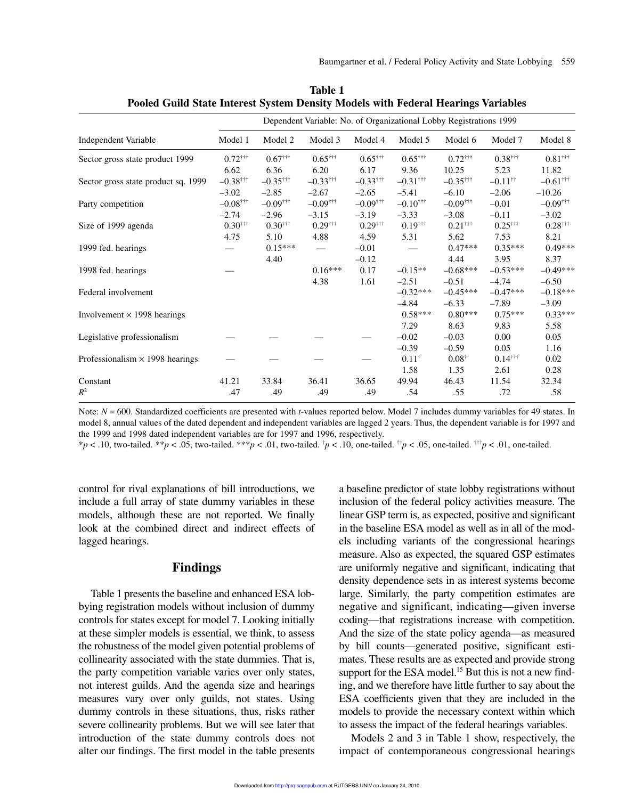|                                        | Dependent Variable: No. of Organizational Lobby Registrations 1999 |                        |                        |                        |                        |                        |                       |                        |  |
|----------------------------------------|--------------------------------------------------------------------|------------------------|------------------------|------------------------|------------------------|------------------------|-----------------------|------------------------|--|
| Independent Variable                   | Model 1                                                            | Model 2                | Model 3                | Model 4                | Model 5                | Model 6                | Model 7               | Model 8                |  |
| Sector gross state product 1999        | $0.72$ <sup>†††</sup>                                              | $0.67$ <sup>†††</sup>  | $0.65$ <sup>†††</sup>  | $0.65$ <sup>†††</sup>  | $0.65$ <sup>†††</sup>  | $0.72$ <sup>†††</sup>  | $0.38$ <sup>†††</sup> | $0.81$ <sup>†††</sup>  |  |
|                                        | 6.62                                                               | 6.36                   | 6.20                   | 6.17                   | 9.36                   | 10.25                  | 5.23                  | 11.82                  |  |
| Sector gross state product sq. 1999    | $-0.38$ <sup>†††</sup>                                             | $-0.35$ <sup>†††</sup> | $-0.33$ <sup>†††</sup> | $-0.33$ <sup>†††</sup> | $-0.31$ <sup>†††</sup> | $-0.35$ <sup>†††</sup> | $-0.11$ <sup>††</sup> | $-0.61$ <sup>†††</sup> |  |
|                                        | $-3.02$                                                            | $-2.85$                | $-2.67$                | $-2.65$                | $-5.41$                | $-6.10$                | $-2.06$               | $-10.26$               |  |
| Party competition                      | $-0.08$ <sup>†††</sup>                                             | $-0.09$ <sup>†††</sup> | $-0.09$ <sup>†††</sup> | $-0.09$ <sup>†††</sup> | $-0.10$ <sup>†††</sup> | $-0.09$ <sup>†††</sup> | $-0.01$               | $-0.09$ <sup>†††</sup> |  |
|                                        | $-2.74$                                                            | $-2.96$                | $-3.15$                | $-3.19$                | $-3.33$                | $-3.08$                | $-0.11$               | $-3.02$                |  |
| Size of 1999 agenda                    | $0.30^{++}$                                                        | $0.30^{++}$            | $0.29$ <sup>†††</sup>  | $0.29$ <sup>†††</sup>  | $0.19$ <sup>†††</sup>  | $0.21$ <sup>†††</sup>  | $0.25$ <sup>†††</sup> | $0.28$ <sup>†††</sup>  |  |
|                                        | 4.75                                                               | 5.10                   | 4.88                   | 4.59                   | 5.31                   | 5.62                   | 7.53                  | 8.21                   |  |
| 1999 fed. hearings                     |                                                                    | $0.15***$              |                        | $-0.01$                |                        | $0.47***$              | $0.35***$             | $0.49***$              |  |
|                                        |                                                                    | 4.40                   |                        | $-0.12$                |                        | 4.44                   | 3.95                  | 8.37                   |  |
| 1998 fed. hearings                     |                                                                    |                        | $0.16***$              | 0.17                   | $-0.15**$              | $-0.68***$             | $-0.53***$            | $-0.49***$             |  |
|                                        |                                                                    |                        | 4.38                   | 1.61                   | $-2.51$                | $-0.51$                | $-4.74$               | $-6.50$                |  |
| Federal involvement                    |                                                                    |                        |                        |                        | $-0.32***$             | $-0.45***$             | $-0.47***$            | $-0.18***$             |  |
|                                        |                                                                    |                        |                        |                        | $-4.84$                | $-6.33$                | $-7.89$               | $-3.09$                |  |
| Involvement $\times$ 1998 hearings     |                                                                    |                        |                        |                        | $0.58***$              | $0.80***$              | $0.75***$             | $0.33***$              |  |
|                                        |                                                                    |                        |                        |                        | 7.29                   | 8.63                   | 9.83                  | 5.58                   |  |
| Legislative professionalism            |                                                                    |                        |                        |                        | $-0.02$                | $-0.03$                | 0.00                  | 0.05                   |  |
|                                        |                                                                    |                        |                        |                        | $-0.39$                | $-0.59$                | 0.05                  | 1.16                   |  |
| Professionalism $\times$ 1998 hearings |                                                                    |                        |                        |                        | $0.11^{\dagger}$       | $0.08^{\dagger}$       | $0.14$ <sup>†††</sup> | 0.02                   |  |
|                                        |                                                                    |                        |                        |                        | 1.58                   | 1.35                   | 2.61                  | 0.28                   |  |
| Constant                               | 41.21                                                              | 33.84                  | 36.41                  | 36.65                  | 49.94                  | 46.43                  | 11.54                 | 32.34                  |  |
| $R^2$                                  | .47                                                                | .49                    | .49                    | .49                    | .54                    | .55                    | .72                   | .58                    |  |

**Table 1 Pooled Guild State Interest System Density Models with Federal Hearings Variables**

Note:  $N = 600$ . Standardized coefficients are presented with *t*-values reported below. Model 7 includes dummy variables for 49 states. In model 8, annual values of the dated dependent and independent variables are lagged 2 years. Thus, the dependent variable is for 1997 and the 1999 and 1998 dated independent variables are for 1997 and 1996, respectively.

 $*p$  < .10, two-tailed.  $**p$  < .05, two-tailed.  $**p$  < .01, two-tailed.  $^{\dagger}p$  < .10, one-tailed.  $^{\dagger +}p$  < .05, one-tailed.  $^{\dagger +}p$  < .01, one-tailed.

control for rival explanations of bill introductions, we include a full array of state dummy variables in these models, although these are not reported. We finally look at the combined direct and indirect effects of lagged hearings.

#### **Findings**

Table 1 presents the baseline and enhanced ESA lobbying registration models without inclusion of dummy controls for states except for model 7. Looking initially at these simpler models is essential, we think, to assess the robustness of the model given potential problems of collinearity associated with the state dummies. That is, the party competition variable varies over only states, not interest guilds. And the agenda size and hearings measures vary over only guilds, not states. Using dummy controls in these situations, thus, risks rather severe collinearity problems. But we will see later that introduction of the state dummy controls does not alter our findings. The first model in the table presents

a baseline predictor of state lobby registrations without inclusion of the federal policy activities measure. The linear GSP term is, as expected, positive and significant in the baseline ESA model as well as in all of the models including variants of the congressional hearings measure. Also as expected, the squared GSP estimates are uniformly negative and significant, indicating that density dependence sets in as interest systems become large. Similarly, the party competition estimates are negative and significant, indicating—given inverse coding—that registrations increase with competition. And the size of the state policy agenda—as measured by bill counts—generated positive, significant estimates. These results are as expected and provide strong support for the ESA model.<sup>15</sup> But this is not a new finding, and we therefore have little further to say about the ESA coefficients given that they are included in the models to provide the necessary context within which to assess the impact of the federal hearings variables.

Models 2 and 3 in Table 1 show, respectively, the impact of contemporaneous congressional hearings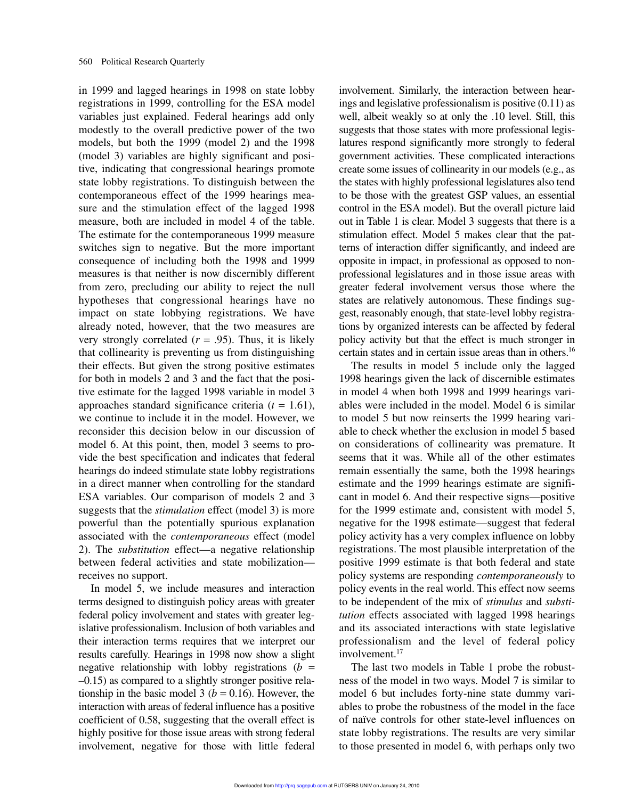in 1999 and lagged hearings in 1998 on state lobby registrations in 1999, controlling for the ESA model variables just explained. Federal hearings add only modestly to the overall predictive power of the two models, but both the 1999 (model 2) and the 1998 (model 3) variables are highly significant and positive, indicating that congressional hearings promote state lobby registrations. To distinguish between the contemporaneous effect of the 1999 hearings measure and the stimulation effect of the lagged 1998 measure, both are included in model 4 of the table. The estimate for the contemporaneous 1999 measure switches sign to negative. But the more important consequence of including both the 1998 and 1999 measures is that neither is now discernibly different from zero, precluding our ability to reject the null hypotheses that congressional hearings have no impact on state lobbying registrations. We have already noted, however, that the two measures are very strongly correlated  $(r = .95)$ . Thus, it is likely that collinearity is preventing us from distinguishing their effects. But given the strong positive estimates for both in models 2 and 3 and the fact that the positive estimate for the lagged 1998 variable in model 3 approaches standard significance criteria  $(t = 1.61)$ , we continue to include it in the model. However, we reconsider this decision below in our discussion of model 6. At this point, then, model 3 seems to provide the best specification and indicates that federal hearings do indeed stimulate state lobby registrations in a direct manner when controlling for the standard ESA variables. Our comparison of models 2 and 3 suggests that the *stimulation* effect (model 3) is more powerful than the potentially spurious explanation associated with the *contemporaneous* effect (model 2). The *substitution* effect—a negative relationship between federal activities and state mobilization receives no support.

In model 5, we include measures and interaction terms designed to distinguish policy areas with greater federal policy involvement and states with greater legislative professionalism. Inclusion of both variables and their interaction terms requires that we interpret our results carefully. Hearings in 1998 now show a slight negative relationship with lobby registrations  $(b =$ –0.15) as compared to a slightly stronger positive relationship in the basic model 3 ( $b = 0.16$ ). However, the interaction with areas of federal influence has a positive coefficient of 0.58, suggesting that the overall effect is highly positive for those issue areas with strong federal involvement, negative for those with little federal involvement. Similarly, the interaction between hearings and legislative professionalism is positive (0.11) as well, albeit weakly so at only the .10 level. Still, this suggests that those states with more professional legislatures respond significantly more strongly to federal government activities. These complicated interactions create some issues of collinearity in our models (e.g., as the states with highly professional legislatures also tend to be those with the greatest GSP values, an essential control in the ESA model). But the overall picture laid out in Table 1 is clear. Model 3 suggests that there is a stimulation effect. Model 5 makes clear that the patterns of interaction differ significantly, and indeed are opposite in impact, in professional as opposed to nonprofessional legislatures and in those issue areas with greater federal involvement versus those where the states are relatively autonomous. These findings suggest, reasonably enough, that state-level lobby registrations by organized interests can be affected by federal policy activity but that the effect is much stronger in certain states and in certain issue areas than in others.<sup>16</sup>

The results in model 5 include only the lagged 1998 hearings given the lack of discernible estimates in model 4 when both 1998 and 1999 hearings variables were included in the model. Model 6 is similar to model 5 but now reinserts the 1999 hearing variable to check whether the exclusion in model 5 based on considerations of collinearity was premature. It seems that it was. While all of the other estimates remain essentially the same, both the 1998 hearings estimate and the 1999 hearings estimate are significant in model 6. And their respective signs—positive for the 1999 estimate and, consistent with model 5, negative for the 1998 estimate—suggest that federal policy activity has a very complex influence on lobby registrations. The most plausible interpretation of the positive 1999 estimate is that both federal and state policy systems are responding *contemporaneously* to policy events in the real world. This effect now seems to be independent of the mix of *stimulus* and *substitution* effects associated with lagged 1998 hearings and its associated interactions with state legislative professionalism and the level of federal policy involvement.<sup>17</sup>

The last two models in Table 1 probe the robustness of the model in two ways. Model 7 is similar to model 6 but includes forty-nine state dummy variables to probe the robustness of the model in the face of naïve controls for other state-level influences on state lobby registrations. The results are very similar to those presented in model 6, with perhaps only two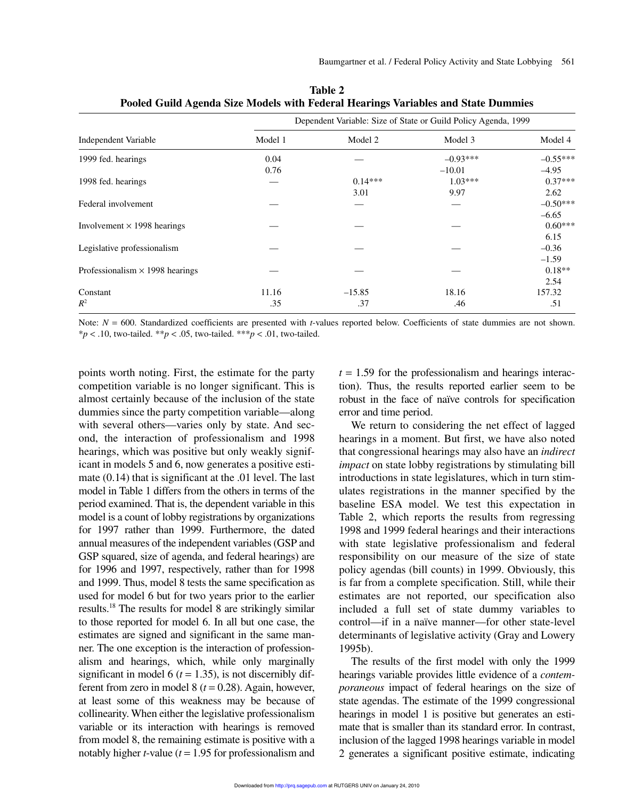|                                        |         | Dependent Variable: Size of State or Guild Policy Agenda, 1999 |            |            |  |  |
|----------------------------------------|---------|----------------------------------------------------------------|------------|------------|--|--|
| Independent Variable                   | Model 1 | Model 2                                                        | Model 3    | Model 4    |  |  |
| 1999 fed. hearings                     | 0.04    |                                                                | $-0.93***$ | $-0.55***$ |  |  |
|                                        | 0.76    |                                                                | $-10.01$   | $-4.95$    |  |  |
| 1998 fed. hearings                     |         | $0.14***$                                                      | $1.03***$  | $0.37***$  |  |  |
|                                        |         | 3.01                                                           | 9.97       | 2.62       |  |  |
| Federal involvement                    |         |                                                                |            | $-0.50***$ |  |  |
|                                        |         |                                                                |            | $-6.65$    |  |  |
| Involvement $\times$ 1998 hearings     |         |                                                                |            | $0.60***$  |  |  |
|                                        |         |                                                                |            | 6.15       |  |  |
| Legislative professionalism            |         |                                                                |            | $-0.36$    |  |  |
|                                        |         |                                                                |            | $-1.59$    |  |  |
| Professionalism $\times$ 1998 hearings |         |                                                                |            | $0.18**$   |  |  |
|                                        |         |                                                                |            | 2.54       |  |  |
| Constant                               | 11.16   | $-15.85$                                                       | 18.16      | 157.32     |  |  |
| $R^2$                                  | .35     | .37                                                            | .46        | .51        |  |  |

**Table 2 Pooled Guild Agenda Size Models with Federal Hearings Variables and State Dummies**

Note:  $N = 600$ . Standardized coefficients are presented with *t*-values reported below. Coefficients of state dummies are not shown. \**p* < .10, two-tailed. \*\**p* < .05, two-tailed. \*\*\**p* < .01, two-tailed.

points worth noting. First, the estimate for the party competition variable is no longer significant. This is almost certainly because of the inclusion of the state dummies since the party competition variable—along with several others—varies only by state. And second, the interaction of professionalism and 1998 hearings, which was positive but only weakly significant in models 5 and 6, now generates a positive estimate (0.14) that is significant at the .01 level. The last model in Table 1 differs from the others in terms of the period examined. That is, the dependent variable in this model is a count of lobby registrations by organizations for 1997 rather than 1999. Furthermore, the dated annual measures of the independent variables (GSP and GSP squared, size of agenda, and federal hearings) are for 1996 and 1997, respectively, rather than for 1998 and 1999. Thus, model 8 tests the same specification as used for model 6 but for two years prior to the earlier results.18 The results for model 8 are strikingly similar to those reported for model 6. In all but one case, the estimates are signed and significant in the same manner. The one exception is the interaction of professionalism and hearings, which, while only marginally significant in model 6  $(t = 1.35)$ , is not discernibly different from zero in model  $8$  ( $t = 0.28$ ). Again, however, at least some of this weakness may be because of collinearity. When either the legislative professionalism variable or its interaction with hearings is removed from model 8, the remaining estimate is positive with a notably higher *t*-value (*t* = 1.95 for professionalism and

 $t = 1.59$  for the professionalism and hearings interaction). Thus, the results reported earlier seem to be robust in the face of naïve controls for specification error and time period.

We return to considering the net effect of lagged hearings in a moment. But first, we have also noted that congressional hearings may also have an *indirect impact* on state lobby registrations by stimulating bill introductions in state legislatures, which in turn stimulates registrations in the manner specified by the baseline ESA model. We test this expectation in Table 2, which reports the results from regressing 1998 and 1999 federal hearings and their interactions with state legislative professionalism and federal responsibility on our measure of the size of state policy agendas (bill counts) in 1999. Obviously, this is far from a complete specification. Still, while their estimates are not reported, our specification also included a full set of state dummy variables to control—if in a naïve manner—for other state-level determinants of legislative activity (Gray and Lowery 1995b).

The results of the first model with only the 1999 hearings variable provides little evidence of a *contemporaneous* impact of federal hearings on the size of state agendas. The estimate of the 1999 congressional hearings in model 1 is positive but generates an estimate that is smaller than its standard error. In contrast, inclusion of the lagged 1998 hearings variable in model 2 generates a significant positive estimate, indicating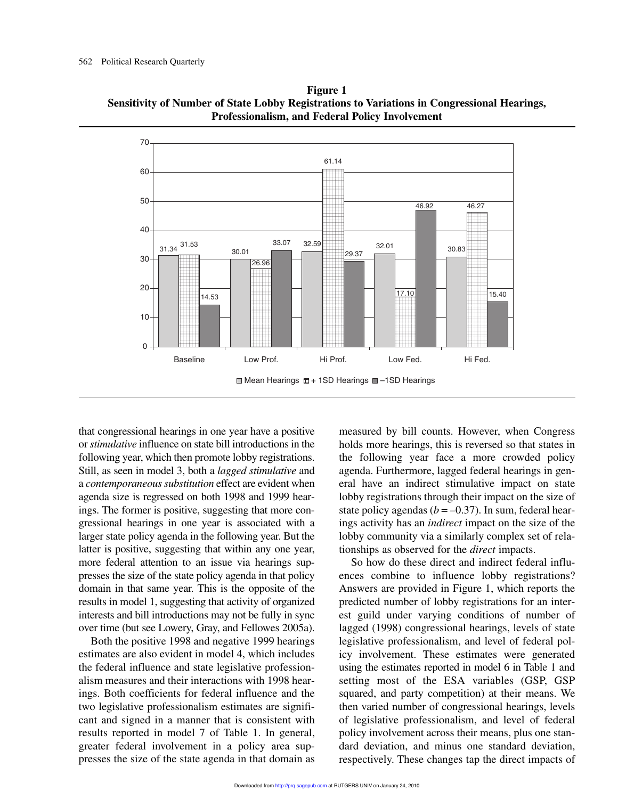

**Figure 1 Sensitivity of Number of State Lobby Registrations to Variations in Congressional Hearings, Professionalism, and Federal Policy Involvement**

that congressional hearings in one year have a positive or *stimulative* influence on state bill introductions in the following year, which then promote lobby registrations. Still, as seen in model 3, both a *lagged stimulative* and a *contemporaneous substitution* effect are evident when agenda size is regressed on both 1998 and 1999 hearings. The former is positive, suggesting that more congressional hearings in one year is associated with a larger state policy agenda in the following year. But the latter is positive, suggesting that within any one year, more federal attention to an issue via hearings suppresses the size of the state policy agenda in that policy domain in that same year. This is the opposite of the results in model 1, suggesting that activity of organized interests and bill introductions may not be fully in sync over time (but see Lowery, Gray, and Fellowes 2005a).

Both the positive 1998 and negative 1999 hearings estimates are also evident in model 4, which includes the federal influence and state legislative professionalism measures and their interactions with 1998 hearings. Both coefficients for federal influence and the two legislative professionalism estimates are significant and signed in a manner that is consistent with results reported in model 7 of Table 1. In general, greater federal involvement in a policy area suppresses the size of the state agenda in that domain as

measured by bill counts. However, when Congress holds more hearings, this is reversed so that states in the following year face a more crowded policy agenda. Furthermore, lagged federal hearings in general have an indirect stimulative impact on state lobby registrations through their impact on the size of state policy agendas ( $b = -0.37$ ). In sum, federal hearings activity has an *indirect* impact on the size of the lobby community via a similarly complex set of relationships as observed for the *direct* impacts.

So how do these direct and indirect federal influences combine to influence lobby registrations? Answers are provided in Figure 1, which reports the predicted number of lobby registrations for an interest guild under varying conditions of number of lagged (1998) congressional hearings, levels of state legislative professionalism, and level of federal policy involvement. These estimates were generated using the estimates reported in model 6 in Table 1 and setting most of the ESA variables (GSP, GSP squared, and party competition) at their means. We then varied number of congressional hearings, levels of legislative professionalism, and level of federal policy involvement across their means, plus one standard deviation, and minus one standard deviation, respectively. These changes tap the direct impacts of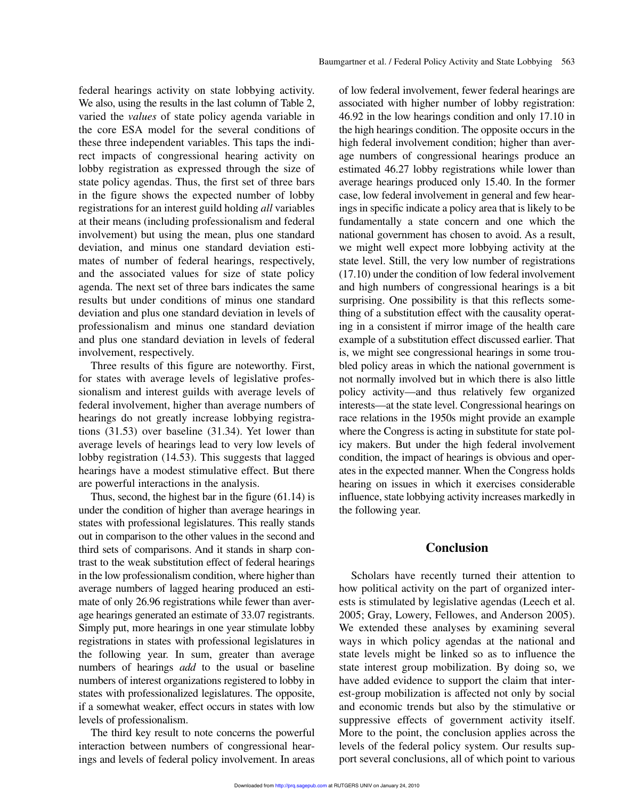federal hearings activity on state lobbying activity. We also, using the results in the last column of Table 2, varied the *values* of state policy agenda variable in the core ESA model for the several conditions of these three independent variables. This taps the indirect impacts of congressional hearing activity on lobby registration as expressed through the size of state policy agendas. Thus, the first set of three bars in the figure shows the expected number of lobby registrations for an interest guild holding *all* variables at their means (including professionalism and federal involvement) but using the mean, plus one standard deviation, and minus one standard deviation estimates of number of federal hearings, respectively, and the associated values for size of state policy agenda. The next set of three bars indicates the same results but under conditions of minus one standard deviation and plus one standard deviation in levels of professionalism and minus one standard deviation and plus one standard deviation in levels of federal involvement, respectively.

Three results of this figure are noteworthy. First, for states with average levels of legislative professionalism and interest guilds with average levels of federal involvement, higher than average numbers of hearings do not greatly increase lobbying registrations (31.53) over baseline (31.34). Yet lower than average levels of hearings lead to very low levels of lobby registration (14.53). This suggests that lagged hearings have a modest stimulative effect. But there are powerful interactions in the analysis.

Thus, second, the highest bar in the figure (61.14) is under the condition of higher than average hearings in states with professional legislatures. This really stands out in comparison to the other values in the second and third sets of comparisons. And it stands in sharp contrast to the weak substitution effect of federal hearings in the low professionalism condition, where higher than average numbers of lagged hearing produced an estimate of only 26.96 registrations while fewer than average hearings generated an estimate of 33.07 registrants. Simply put, more hearings in one year stimulate lobby registrations in states with professional legislatures in the following year. In sum, greater than average numbers of hearings *add* to the usual or baseline numbers of interest organizations registered to lobby in states with professionalized legislatures. The opposite, if a somewhat weaker, effect occurs in states with low levels of professionalism.

The third key result to note concerns the powerful interaction between numbers of congressional hearings and levels of federal policy involvement. In areas

of low federal involvement, fewer federal hearings are associated with higher number of lobby registration: 46.92 in the low hearings condition and only 17.10 in the high hearings condition. The opposite occurs in the high federal involvement condition; higher than average numbers of congressional hearings produce an estimated 46.27 lobby registrations while lower than average hearings produced only 15.40. In the former case, low federal involvement in general and few hearings in specific indicate a policy area that is likely to be fundamentally a state concern and one which the national government has chosen to avoid. As a result, we might well expect more lobbying activity at the state level. Still, the very low number of registrations (17.10) under the condition of low federal involvement and high numbers of congressional hearings is a bit surprising. One possibility is that this reflects something of a substitution effect with the causality operating in a consistent if mirror image of the health care example of a substitution effect discussed earlier. That is, we might see congressional hearings in some troubled policy areas in which the national government is not normally involved but in which there is also little policy activity—and thus relatively few organized interests—at the state level. Congressional hearings on race relations in the 1950s might provide an example where the Congress is acting in substitute for state policy makers. But under the high federal involvement condition, the impact of hearings is obvious and operates in the expected manner. When the Congress holds hearing on issues in which it exercises considerable influence, state lobbying activity increases markedly in the following year.

### **Conclusion**

Scholars have recently turned their attention to how political activity on the part of organized interests is stimulated by legislative agendas (Leech et al. 2005; Gray, Lowery, Fellowes, and Anderson 2005). We extended these analyses by examining several ways in which policy agendas at the national and state levels might be linked so as to influence the state interest group mobilization. By doing so, we have added evidence to support the claim that interest-group mobilization is affected not only by social and economic trends but also by the stimulative or suppressive effects of government activity itself. More to the point, the conclusion applies across the levels of the federal policy system. Our results support several conclusions, all of which point to various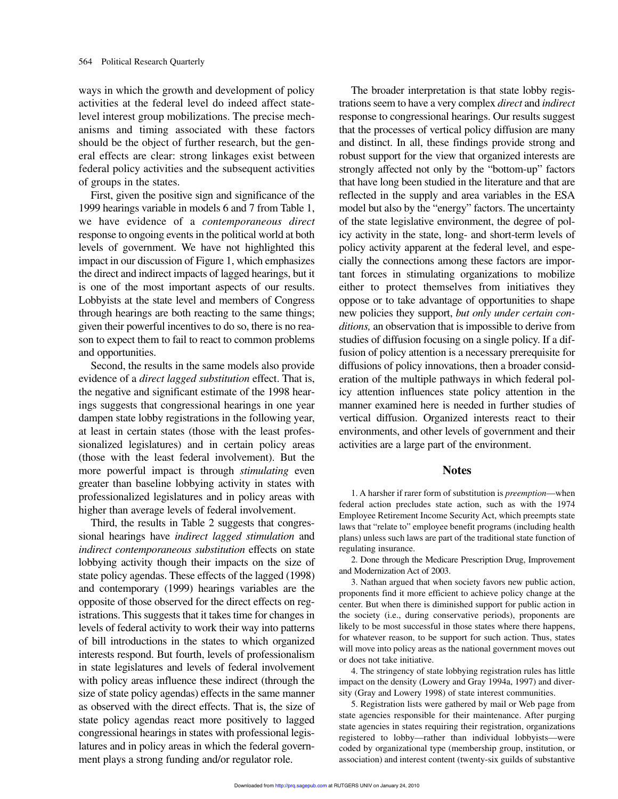ways in which the growth and development of policy activities at the federal level do indeed affect statelevel interest group mobilizations. The precise mechanisms and timing associated with these factors should be the object of further research, but the general effects are clear: strong linkages exist between federal policy activities and the subsequent activities of groups in the states.

First, given the positive sign and significance of the 1999 hearings variable in models 6 and 7 from Table 1, we have evidence of a *contemporaneous direct* response to ongoing events in the political world at both levels of government. We have not highlighted this impact in our discussion of Figure 1, which emphasizes the direct and indirect impacts of lagged hearings, but it is one of the most important aspects of our results. Lobbyists at the state level and members of Congress through hearings are both reacting to the same things; given their powerful incentives to do so, there is no reason to expect them to fail to react to common problems and opportunities.

Second, the results in the same models also provide evidence of a *direct lagged substitution* effect. That is, the negative and significant estimate of the 1998 hearings suggests that congressional hearings in one year dampen state lobby registrations in the following year, at least in certain states (those with the least professionalized legislatures) and in certain policy areas (those with the least federal involvement). But the more powerful impact is through *stimulating* even greater than baseline lobbying activity in states with professionalized legislatures and in policy areas with higher than average levels of federal involvement.

Third, the results in Table 2 suggests that congressional hearings have *indirect lagged stimulation* and *indirect contemporaneous substitution* effects on state lobbying activity though their impacts on the size of state policy agendas. These effects of the lagged (1998) and contemporary (1999) hearings variables are the opposite of those observed for the direct effects on registrations. This suggests that it takes time for changes in levels of federal activity to work their way into patterns of bill introductions in the states to which organized interests respond. But fourth, levels of professionalism in state legislatures and levels of federal involvement with policy areas influence these indirect (through the size of state policy agendas) effects in the same manner as observed with the direct effects. That is, the size of state policy agendas react more positively to lagged congressional hearings in states with professional legislatures and in policy areas in which the federal government plays a strong funding and/or regulator role.

The broader interpretation is that state lobby registrations seem to have a very complex *direct* and *indirect* response to congressional hearings. Our results suggest that the processes of vertical policy diffusion are many and distinct. In all, these findings provide strong and robust support for the view that organized interests are strongly affected not only by the "bottom-up" factors that have long been studied in the literature and that are reflected in the supply and area variables in the ESA model but also by the "energy" factors. The uncertainty of the state legislative environment, the degree of policy activity in the state, long- and short-term levels of policy activity apparent at the federal level, and especially the connections among these factors are important forces in stimulating organizations to mobilize either to protect themselves from initiatives they oppose or to take advantage of opportunities to shape new policies they support, *but only under certain conditions,* an observation that is impossible to derive from studies of diffusion focusing on a single policy. If a diffusion of policy attention is a necessary prerequisite for diffusions of policy innovations, then a broader consideration of the multiple pathways in which federal policy attention influences state policy attention in the manner examined here is needed in further studies of vertical diffusion. Organized interests react to their environments, and other levels of government and their activities are a large part of the environment.

#### **Notes**

1. A harsher if rarer form of substitution is *preemption*—when federal action precludes state action, such as with the 1974 Employee Retirement Income Security Act, which preempts state laws that "relate to" employee benefit programs (including health plans) unless such laws are part of the traditional state function of regulating insurance.

2. Done through the Medicare Prescription Drug, Improvement and Modernization Act of 2003.

3. Nathan argued that when society favors new public action, proponents find it more efficient to achieve policy change at the center. But when there is diminished support for public action in the society (i.e., during conservative periods), proponents are likely to be most successful in those states where there happens, for whatever reason, to be support for such action. Thus, states will move into policy areas as the national government moves out or does not take initiative.

4. The stringency of state lobbying registration rules has little impact on the density (Lowery and Gray 1994a, 1997) and diversity (Gray and Lowery 1998) of state interest communities.

5. Registration lists were gathered by mail or Web page from state agencies responsible for their maintenance. After purging state agencies in states requiring their registration, organizations registered to lobby—rather than individual lobbyists—were coded by organizational type (membership group, institution, or association) and interest content (twenty-six guilds of substantive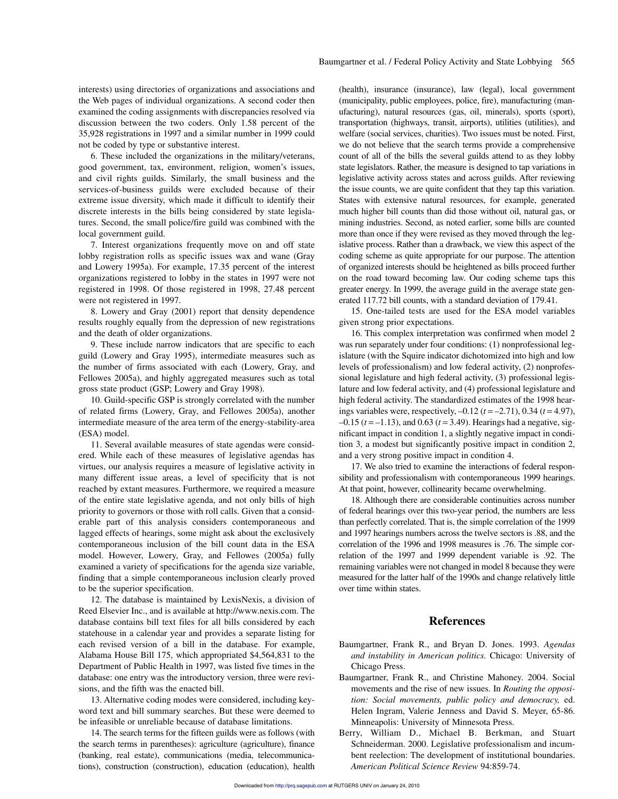interests) using directories of organizations and associations and the Web pages of individual organizations. A second coder then examined the coding assignments with discrepancies resolved via discussion between the two coders. Only 1.58 percent of the 35,928 registrations in 1997 and a similar number in 1999 could not be coded by type or substantive interest.

6. These included the organizations in the military/veterans, good government, tax, environment, religion, women's issues, and civil rights guilds. Similarly, the small business and the services-of-business guilds were excluded because of their extreme issue diversity, which made it difficult to identify their discrete interests in the bills being considered by state legislatures. Second, the small police/fire guild was combined with the local government guild.

7. Interest organizations frequently move on and off state lobby registration rolls as specific issues wax and wane (Gray and Lowery 1995a). For example, 17.35 percent of the interest organizations registered to lobby in the states in 1997 were not registered in 1998. Of those registered in 1998, 27.48 percent were not registered in 1997.

8. Lowery and Gray (2001) report that density dependence results roughly equally from the depression of new registrations and the death of older organizations.

9. These include narrow indicators that are specific to each guild (Lowery and Gray 1995), intermediate measures such as the number of firms associated with each (Lowery, Gray, and Fellowes 2005a), and highly aggregated measures such as total gross state product (GSP; Lowery and Gray 1998).

10. Guild-specific GSP is strongly correlated with the number of related firms (Lowery, Gray, and Fellowes 2005a), another intermediate measure of the area term of the energy-stability-area (ESA) model.

11. Several available measures of state agendas were considered. While each of these measures of legislative agendas has virtues, our analysis requires a measure of legislative activity in many different issue areas, a level of specificity that is not reached by extant measures. Furthermore, we required a measure of the entire state legislative agenda, and not only bills of high priority to governors or those with roll calls. Given that a considerable part of this analysis considers contemporaneous and lagged effects of hearings, some might ask about the exclusively contemporaneous inclusion of the bill count data in the ESA model. However, Lowery, Gray, and Fellowes (2005a) fully examined a variety of specifications for the agenda size variable, finding that a simple contemporaneous inclusion clearly proved to be the superior specification.

12. The database is maintained by LexisNexis, a division of Reed Elsevier Inc., and is available at http://www.nexis.com. The database contains bill text files for all bills considered by each statehouse in a calendar year and provides a separate listing for each revised version of a bill in the database. For example, Alabama House Bill 175, which appropriated \$4,564,831 to the Department of Public Health in 1997, was listed five times in the database: one entry was the introductory version, three were revisions, and the fifth was the enacted bill.

13. Alternative coding modes were considered, including keyword text and bill summary searches. But these were deemed to be infeasible or unreliable because of database limitations.

14. The search terms for the fifteen guilds were as follows (with the search terms in parentheses): agriculture (agriculture), finance (banking, real estate), communications (media, telecommunications), construction (construction), education (education), health

(health), insurance (insurance), law (legal), local government (municipality, public employees, police, fire), manufacturing (manufacturing), natural resources (gas, oil, minerals), sports (sport), transportation (highways, transit, airports), utilities (utilities), and welfare (social services, charities). Two issues must be noted. First, we do not believe that the search terms provide a comprehensive count of all of the bills the several guilds attend to as they lobby state legislators. Rather, the measure is designed to tap variations in legislative activity across states and across guilds. After reviewing the issue counts, we are quite confident that they tap this variation. States with extensive natural resources, for example, generated much higher bill counts than did those without oil, natural gas, or mining industries. Second, as noted earlier, some bills are counted more than once if they were revised as they moved through the legislative process. Rather than a drawback, we view this aspect of the coding scheme as quite appropriate for our purpose. The attention of organized interests should be heightened as bills proceed further on the road toward becoming law. Our coding scheme taps this greater energy. In 1999, the average guild in the average state generated 117.72 bill counts, with a standard deviation of 179.41.

15. One-tailed tests are used for the ESA model variables given strong prior expectations.

16. This complex interpretation was confirmed when model 2 was run separately under four conditions: (1) nonprofessional legislature (with the Squire indicator dichotomized into high and low levels of professionalism) and low federal activity, (2) nonprofessional legislature and high federal activity, (3) professional legislature and low federal activity, and (4) professional legislature and high federal activity. The standardized estimates of the 1998 hearings variables were, respectively, –0.12 (*t* = –2.71), 0.34 (*t* = 4.97), –0.15 (*t* = –1.13), and 0.63 (*t* = 3.49). Hearings had a negative, significant impact in condition 1, a slightly negative impact in condition 3, a modest but significantly positive impact in condition 2, and a very strong positive impact in condition 4.

17. We also tried to examine the interactions of federal responsibility and professionalism with contemporaneous 1999 hearings. At that point, however, collinearity became overwhelming.

18. Although there are considerable continuities across number of federal hearings over this two-year period, the numbers are less than perfectly correlated. That is, the simple correlation of the 1999 and 1997 hearings numbers across the twelve sectors is .88, and the correlation of the 1996 and 1998 measures is .76. The simple correlation of the 1997 and 1999 dependent variable is .92. The remaining variables were not changed in model 8 because they were measured for the latter half of the 1990s and change relatively little over time within states.

#### **References**

- Baumgartner, Frank R., and Bryan D. Jones. 1993. *Agendas and instability in American politics.* Chicago: University of Chicago Press.
- Baumgartner, Frank R., and Christine Mahoney. 2004. Social movements and the rise of new issues. In *Routing the opposition: Social movements, public policy and democracy,* ed. Helen Ingram, Valerie Jenness and David S. Meyer, 65-86. Minneapolis: University of Minnesota Press.
- Berry, William D., Michael B. Berkman, and Stuart Schneiderman. 2000. Legislative professionalism and incumbent reelection: The development of institutional boundaries. *American Political Science Review* 94:859-74.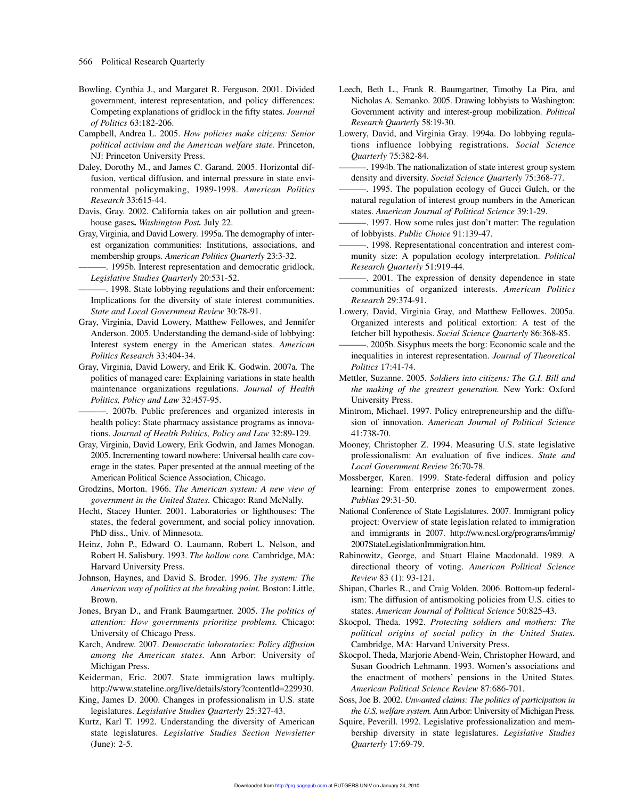- Bowling, Cynthia J., and Margaret R. Ferguson. 2001. Divided government, interest representation, and policy differences: Competing explanations of gridlock in the fifty states. *Journal of Politics* 63:182-206.
- Campbell, Andrea L. 2005. *How policies make citizens: Senior political activism and the American welfare state.* Princeton, NJ: Princeton University Press.
- Daley, Dorothy M., and James C. Garand. 2005. Horizontal diffusion, vertical diffusion, and internal pressure in state environmental policymaking, 1989-1998. *American Politics Research* 33:615-44.
- Davis, Gray. 2002. California takes on air pollution and greenhouse gases**.** *Washington Post.* July 22.
- Gray, Virginia, and David Lowery. 1995a. The demography of interest organization communities: Institutions, associations, and membership groups. *American Politics Quarterly* 23:3-32.
- ———. 1995b. Interest representation and democratic gridlock. *Legislative Studies Quarterly* 20:531-52.
- ———. 1998. State lobbying regulations and their enforcement: Implications for the diversity of state interest communities. *State and Local Government Review* 30:78-91.
- Gray, Virginia, David Lowery, Matthew Fellowes, and Jennifer Anderson. 2005. Understanding the demand-side of lobbying: Interest system energy in the American states. *American Politics Research* 33:404-34.
- Gray, Virginia, David Lowery, and Erik K. Godwin. 2007a. The politics of managed care: Explaining variations in state health maintenance organizations regulations. *Journal of Health Politics, Policy and Law* 32:457-95.
- ———. 2007b. Public preferences and organized interests in health policy: State pharmacy assistance programs as innovations. *Journal of Health Politics, Policy and Law* 32:89-129.
- Gray, Virginia, David Lowery, Erik Godwin, and James Monogan. 2005. Incrementing toward nowhere: Universal health care coverage in the states. Paper presented at the annual meeting of the American Political Science Association, Chicago.
- Grodzins, Morton. 1966. *The American system: A new view of government in the United States.* Chicago: Rand McNally.
- Hecht, Stacey Hunter. 2001. Laboratories or lighthouses: The states, the federal government, and social policy innovation. PhD diss., Univ. of Minnesota.
- Heinz, John P., Edward O. Laumann, Robert L. Nelson, and Robert H. Salisbury. 1993. *The hollow core.* Cambridge, MA: Harvard University Press.
- Johnson, Haynes, and David S. Broder. 1996. *The system: The American way of politics at the breaking point.* Boston: Little, Brown.
- Jones, Bryan D., and Frank Baumgartner. 2005. *The politics of attention: How governments prioritize problems.* Chicago: University of Chicago Press.
- Karch, Andrew. 2007. *Democratic laboratories: Policy diffusion among the American states.* Ann Arbor: University of Michigan Press.
- Keiderman, Eric. 2007. State immigration laws multiply. http://www.stateline.org/live/details/story?contentId=229930.
- King, James D. 2000. Changes in professionalism in U.S. state legislatures. *Legislative Studies Quarterly* 25:327-43.
- Kurtz, Karl T. 1992. Understanding the diversity of American state legislatures. *Legislative Studies Section Newsletter* (June): 2-5.
- Leech, Beth L., Frank R. Baumgartner, Timothy La Pira, and Nicholas A. Semanko. 2005. Drawing lobbyists to Washington: Government activity and interest-group mobilization. *Political Research Quarterly* 58:19-30.
- Lowery, David, and Virginia Gray. 1994a. Do lobbying regulations influence lobbying registrations. *Social Science Quarterly* 75:382-84.
- -. 1994b. The nationalization of state interest group system density and diversity. *Social Science Quarterly* 75:368-77.
- ———. 1995. The population ecology of Gucci Gulch, or the natural regulation of interest group numbers in the American states. *American Journal of Political Science* 39:1-29.
- ———. 1997. How some rules just don't matter: The regulation of lobbyists. *Public Choice* 91:139-47.
- ———. 1998. Representational concentration and interest community size: A population ecology interpretation. *Political Research Quarterly* 51:919-44.
- ———. 2001. The expression of density dependence in state communities of organized interests. *American Politics Research* 29:374-91.
- Lowery, David, Virginia Gray, and Matthew Fellowes. 2005a. Organized interests and political extortion: A test of the fetcher bill hypothesis. *Social Science Quarterly* 86:368-85.
- 2005b. Sisyphus meets the borg: Economic scale and the inequalities in interest representation. *Journal of Theoretical Politics* 17:41-74.
- Mettler, Suzanne. 2005. *Soldiers into citizens: The G.I. Bill and the making of the greatest generation.* New York: Oxford University Press.
- Mintrom, Michael. 1997. Policy entrepreneurship and the diffusion of innovation. *American Journal of Political Science* 41:738-70.
- Mooney, Christopher Z. 1994. Measuring U.S. state legislative professionalism: An evaluation of five indices. *State and Local Government Review* 26:70-78.
- Mossberger, Karen. 1999. State-federal diffusion and policy learning: From enterprise zones to empowerment zones. *Publius* 29:31-50.
- National Conference of State Legislatures. 2007. Immigrant policy project: Overview of state legislation related to immigration and immigrants in 2007. http://ww.ncsl.org/programs/immig/ 2007StateLegislationImmigration.htm.
- Rabinowitz, George, and Stuart Elaine Macdonald. 1989. A directional theory of voting. *American Political Science Review* 83 (1): 93-121.
- Shipan, Charles R., and Craig Volden. 2006. Bottom-up federalism: The diffusion of antismoking policies from U.S. cities to states. *American Journal of Political Science* 50:825-43.
- Skocpol, Theda. 1992. *Protecting soldiers and mothers: The political origins of social policy in the United States.* Cambridge, MA: Harvard University Press.
- Skocpol, Theda, Marjorie Abend-Wein, Christopher Howard, and Susan Goodrich Lehmann. 1993. Women's associations and the enactment of mothers' pensions in the United States. *American Political Science Review* 87:686-701.
- Soss, Joe B. 2002. *Unwanted claims: The politics of participation in the U.S. welfare system.* Ann Arbor: University of Michigan Press.
- Squire, Peverill. 1992. Legislative professionalization and membership diversity in state legislatures. *Legislative Studies Quarterly* 17:69-79.